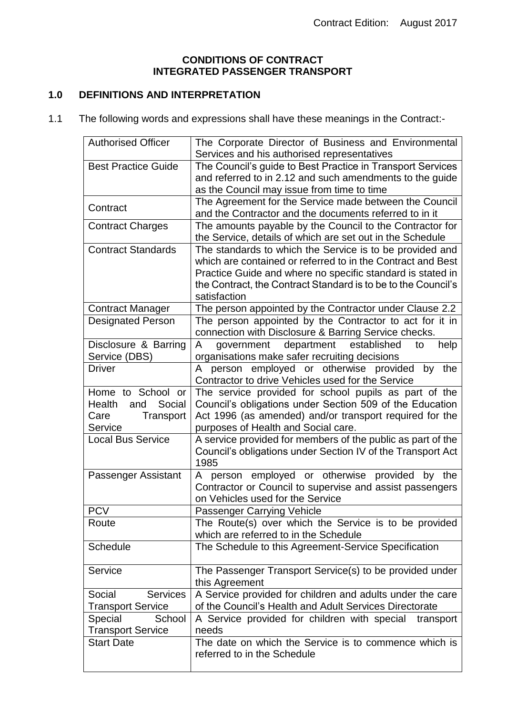## **CONDITIONS OF CONTRACT INTEGRATED PASSENGER TRANSPORT**

# **1.0 DEFINITIONS AND INTERPRETATION**

1.1 The following words and expressions shall have these meanings in the Contract:-

| <b>Authorised Officer</b>                                                    | The Corporate Director of Business and Environmental<br>Services and his authorised representatives                                                                                                                                                                    |
|------------------------------------------------------------------------------|------------------------------------------------------------------------------------------------------------------------------------------------------------------------------------------------------------------------------------------------------------------------|
| <b>Best Practice Guide</b>                                                   | The Council's guide to Best Practice in Transport Services                                                                                                                                                                                                             |
|                                                                              | and referred to in 2.12 and such amendments to the guide                                                                                                                                                                                                               |
|                                                                              | as the Council may issue from time to time                                                                                                                                                                                                                             |
| Contract                                                                     | The Agreement for the Service made between the Council<br>and the Contractor and the documents referred to in it                                                                                                                                                       |
| <b>Contract Charges</b>                                                      | The amounts payable by the Council to the Contractor for<br>the Service, details of which are set out in the Schedule                                                                                                                                                  |
| <b>Contract Standards</b>                                                    | The standards to which the Service is to be provided and<br>which are contained or referred to in the Contract and Best<br>Practice Guide and where no specific standard is stated in<br>the Contract, the Contract Standard is to be to the Council's<br>satisfaction |
| <b>Contract Manager</b>                                                      | The person appointed by the Contractor under Clause 2.2                                                                                                                                                                                                                |
| Designated Person                                                            | The person appointed by the Contractor to act for it in<br>connection with Disclosure & Barring Service checks.                                                                                                                                                        |
| Disclosure & Barring<br>Service (DBS)                                        | government department<br>established<br>help<br>A<br>to<br>organisations make safer recruiting decisions                                                                                                                                                               |
| <b>Driver</b>                                                                | person employed or otherwise provided by the<br>A<br>Contractor to drive Vehicles used for the Service                                                                                                                                                                 |
| Home to School or<br>Social<br>Health<br>and<br>Transport<br>Care<br>Service | The service provided for school pupils as part of the<br>Council's obligations under Section 509 of the Education<br>Act 1996 (as amended) and/or transport required for the<br>purposes of Health and Social care.                                                    |
| <b>Local Bus Service</b>                                                     | A service provided for members of the public as part of the<br>Council's obligations under Section IV of the Transport Act<br>1985                                                                                                                                     |
| Passenger Assistant                                                          | person employed or otherwise provided by the<br>A<br>Contractor or Council to supervise and assist passengers<br>on Vehicles used for the Service                                                                                                                      |
| <b>PCV</b>                                                                   | Passenger Carrying Vehicle                                                                                                                                                                                                                                             |
| Route                                                                        | The Route(s) over which the Service is to be provided<br>which are referred to in the Schedule                                                                                                                                                                         |
| <b>Schedule</b>                                                              | The Schedule to this Agreement-Service Specification                                                                                                                                                                                                                   |
| Service                                                                      | The Passenger Transport Service(s) to be provided under<br>this Agreement                                                                                                                                                                                              |
| <b>Services</b><br>Social<br><b>Transport Service</b>                        | A Service provided for children and adults under the care<br>of the Council's Health and Adult Services Directorate                                                                                                                                                    |
| Special<br>School<br><b>Transport Service</b>                                | A Service provided for children with special<br>transport<br>needs                                                                                                                                                                                                     |
| <b>Start Date</b>                                                            | The date on which the Service is to commence which is<br>referred to in the Schedule                                                                                                                                                                                   |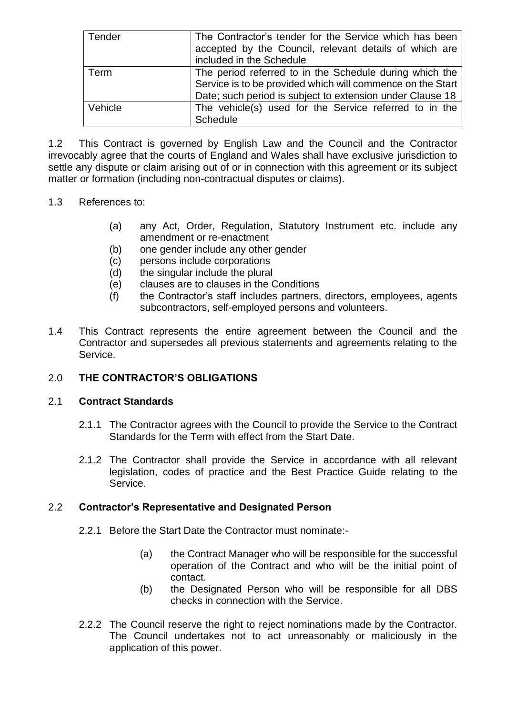| Tender  | The Contractor's tender for the Service which has been<br>accepted by the Council, relevant details of which are<br>included in the Schedule                                       |
|---------|------------------------------------------------------------------------------------------------------------------------------------------------------------------------------------|
| Term    | The period referred to in the Schedule during which the<br>Service is to be provided which will commence on the Start<br>Date; such period is subject to extension under Clause 18 |
| Vehicle | The vehicle(s) used for the Service referred to in the<br><b>Schedule</b>                                                                                                          |

1.2 This Contract is governed by English Law and the Council and the Contractor irrevocably agree that the courts of England and Wales shall have exclusive jurisdiction to settle any dispute or claim arising out of or in connection with this agreement or its subject matter or formation (including non-contractual disputes or claims).

## 1.3 References to:

- (a) any Act, Order, Regulation, Statutory Instrument etc. include any amendment or re-enactment
- (b) one gender include any other gender
- (c) persons include corporations
- (d) the singular include the plural
- (e) clauses are to clauses in the Conditions
- (f) the Contractor's staff includes partners, directors, employees, agents subcontractors, self-employed persons and volunteers.
- 1.4 This Contract represents the entire agreement between the Council and the Contractor and supersedes all previous statements and agreements relating to the Service.

## 2.0 **THE CONTRACTOR'S OBLIGATIONS**

## 2.1 **Contract Standards**

- 2.1.1 The Contractor agrees with the Council to provide the Service to the Contract Standards for the Term with effect from the Start Date.
- 2.1.2 The Contractor shall provide the Service in accordance with all relevant legislation, codes of practice and the Best Practice Guide relating to the Service.

## 2.2 **Contractor's Representative and Designated Person**

- 2.2.1 Before the Start Date the Contractor must nominate:-
	- (a) the Contract Manager who will be responsible for the successful operation of the Contract and who will be the initial point of contact.
	- (b) the Designated Person who will be responsible for all DBS checks in connection with the Service.
- 2.2.2 The Council reserve the right to reject nominations made by the Contractor. The Council undertakes not to act unreasonably or maliciously in the application of this power.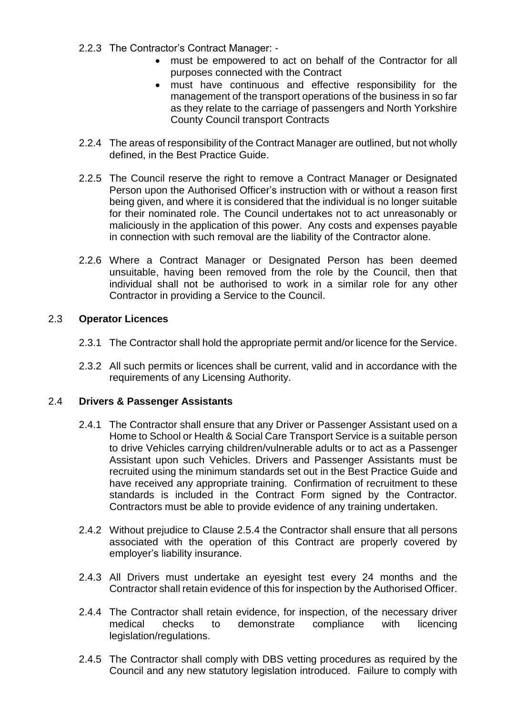- 2.2.3 The Contractor's Contract Manager:
	- must be empowered to act on behalf of the Contractor for all purposes connected with the Contract
	- must have continuous and effective responsibility for the management of the transport operations of the business in so far as they relate to the carriage of passengers and North Yorkshire County Council transport Contracts
- 2.2.4 The areas of responsibility of the Contract Manager are outlined, but not wholly defined, in the Best Practice Guide.
- 2.2.5 The Council reserve the right to remove a Contract Manager or Designated Person upon the Authorised Officer's instruction with or without a reason first being given, and where it is considered that the individual is no longer suitable for their nominated role. The Council undertakes not to act unreasonably or maliciously in the application of this power. Any costs and expenses payable in connection with such removal are the liability of the Contractor alone.
- 2.2.6 Where a Contract Manager or Designated Person has been deemed unsuitable, having been removed from the role by the Council, then that individual shall not be authorised to work in a similar role for any other Contractor in providing a Service to the Council.

## 2.3 **Operator Licences**

- 2.3.1 The Contractor shall hold the appropriate permit and/or licence for the Service.
- 2.3.2 All such permits or licences shall be current, valid and in accordance with the requirements of any Licensing Authority.

## 2.4 **Drivers & Passenger Assistants**

- 2.4.1 The Contractor shall ensure that any Driver or Passenger Assistant used on a Home to School or Health & Social Care Transport Service is a suitable person to drive Vehicles carrying children/vulnerable adults or to act as a Passenger Assistant upon such Vehicles. Drivers and Passenger Assistants must be recruited using the minimum standards set out in the Best Practice Guide and have received any appropriate training. Confirmation of recruitment to these standards is included in the Contract Form signed by the Contractor. Contractors must be able to provide evidence of any training undertaken.
- 2.4.2 Without prejudice to Clause 2.5.4 the Contractor shall ensure that all persons associated with the operation of this Contract are properly covered by employer's liability insurance.
- 2.4.3 All Drivers must undertake an eyesight test every 24 months and the Contractor shall retain evidence of this for inspection by the Authorised Officer.
- 2.4.4 The Contractor shall retain evidence, for inspection, of the necessary driver medical checks to demonstrate compliance with licencing legislation/regulations.
- 2.4.5 The Contractor shall comply with DBS vetting procedures as required by the Council and any new statutory legislation introduced. Failure to comply with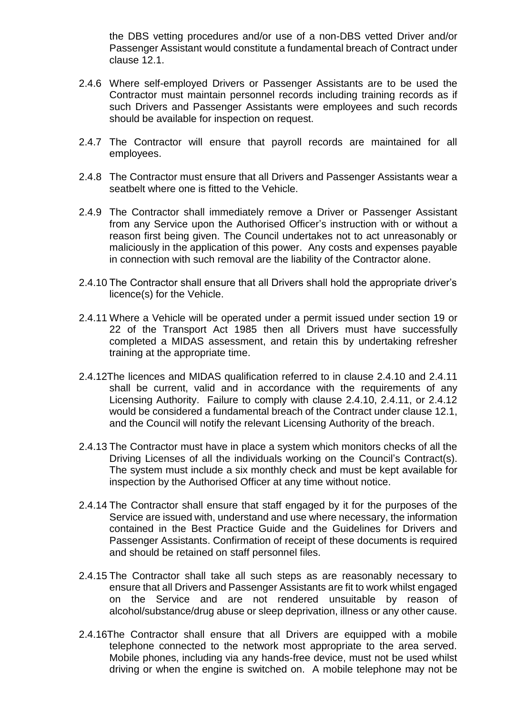the DBS vetting procedures and/or use of a non-DBS vetted Driver and/or Passenger Assistant would constitute a fundamental breach of Contract under clause 12.1.

- 2.4.6 Where self-employed Drivers or Passenger Assistants are to be used the Contractor must maintain personnel records including training records as if such Drivers and Passenger Assistants were employees and such records should be available for inspection on request.
- 2.4.7 The Contractor will ensure that payroll records are maintained for all employees.
- 2.4.8 The Contractor must ensure that all Drivers and Passenger Assistants wear a seatbelt where one is fitted to the Vehicle.
- 2.4.9 The Contractor shall immediately remove a Driver or Passenger Assistant from any Service upon the Authorised Officer's instruction with or without a reason first being given. The Council undertakes not to act unreasonably or maliciously in the application of this power. Any costs and expenses payable in connection with such removal are the liability of the Contractor alone.
- 2.4.10 The Contractor shall ensure that all Drivers shall hold the appropriate driver's licence(s) for the Vehicle.
- 2.4.11 Where a Vehicle will be operated under a permit issued under section 19 or 22 of the Transport Act 1985 then all Drivers must have successfully completed a MIDAS assessment, and retain this by undertaking refresher training at the appropriate time.
- 2.4.12The licences and MIDAS qualification referred to in clause 2.4.10 and 2.4.11 shall be current, valid and in accordance with the requirements of any Licensing Authority. Failure to comply with clause 2.4.10, 2.4.11, or 2.4.12 would be considered a fundamental breach of the Contract under clause 12.1, and the Council will notify the relevant Licensing Authority of the breach.
- 2.4.13 The Contractor must have in place a system which monitors checks of all the Driving Licenses of all the individuals working on the Council's Contract(s). The system must include a six monthly check and must be kept available for inspection by the Authorised Officer at any time without notice.
- 2.4.14 The Contractor shall ensure that staff engaged by it for the purposes of the Service are issued with, understand and use where necessary, the information contained in the Best Practice Guide and the Guidelines for Drivers and Passenger Assistants. Confirmation of receipt of these documents is required and should be retained on staff personnel files.
- 2.4.15 The Contractor shall take all such steps as are reasonably necessary to ensure that all Drivers and Passenger Assistants are fit to work whilst engaged on the Service and are not rendered unsuitable by reason of alcohol/substance/drug abuse or sleep deprivation, illness or any other cause.
- 2.4.16The Contractor shall ensure that all Drivers are equipped with a mobile telephone connected to the network most appropriate to the area served. Mobile phones, including via any hands-free device, must not be used whilst driving or when the engine is switched on. A mobile telephone may not be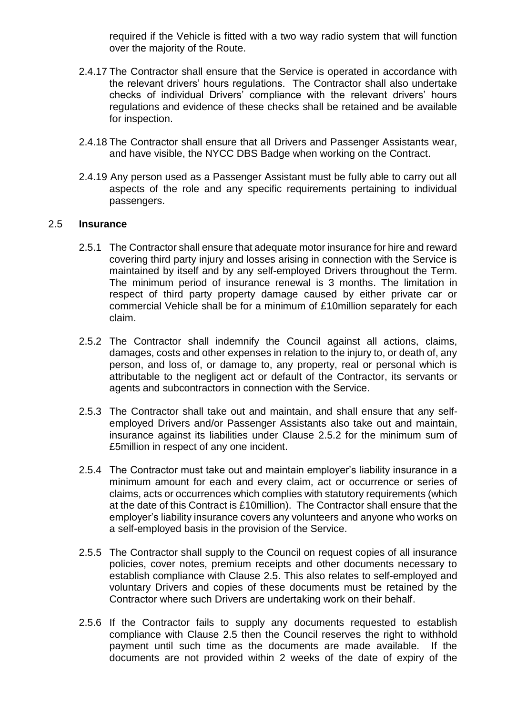required if the Vehicle is fitted with a two way radio system that will function over the majority of the Route.

- 2.4.17 The Contractor shall ensure that the Service is operated in accordance with the relevant drivers' hours regulations. The Contractor shall also undertake checks of individual Drivers' compliance with the relevant drivers' hours regulations and evidence of these checks shall be retained and be available for inspection.
- 2.4.18 The Contractor shall ensure that all Drivers and Passenger Assistants wear, and have visible, the NYCC DBS Badge when working on the Contract.
- 2.4.19 Any person used as a Passenger Assistant must be fully able to carry out all aspects of the role and any specific requirements pertaining to individual passengers.

#### 2.5 **Insurance**

- 2.5.1 The Contractor shall ensure that adequate motor insurance for hire and reward covering third party injury and losses arising in connection with the Service is maintained by itself and by any self-employed Drivers throughout the Term. The minimum period of insurance renewal is 3 months. The limitation in respect of third party property damage caused by either private car or commercial Vehicle shall be for a minimum of £10million separately for each claim.
- 2.5.2 The Contractor shall indemnify the Council against all actions, claims, damages, costs and other expenses in relation to the injury to, or death of, any person, and loss of, or damage to, any property, real or personal which is attributable to the negligent act or default of the Contractor, its servants or agents and subcontractors in connection with the Service.
- 2.5.3 The Contractor shall take out and maintain, and shall ensure that any selfemployed Drivers and/or Passenger Assistants also take out and maintain, insurance against its liabilities under Clause 2.5.2 for the minimum sum of £5million in respect of any one incident.
- 2.5.4 The Contractor must take out and maintain employer's liability insurance in a minimum amount for each and every claim, act or occurrence or series of claims, acts or occurrences which complies with statutory requirements (which at the date of this Contract is £10million). The Contractor shall ensure that the employer's liability insurance covers any volunteers and anyone who works on a self-employed basis in the provision of the Service.
- 2.5.5 The Contractor shall supply to the Council on request copies of all insurance policies, cover notes, premium receipts and other documents necessary to establish compliance with Clause 2.5. This also relates to self-employed and voluntary Drivers and copies of these documents must be retained by the Contractor where such Drivers are undertaking work on their behalf.
- 2.5.6 If the Contractor fails to supply any documents requested to establish compliance with Clause 2.5 then the Council reserves the right to withhold payment until such time as the documents are made available. If the documents are not provided within 2 weeks of the date of expiry of the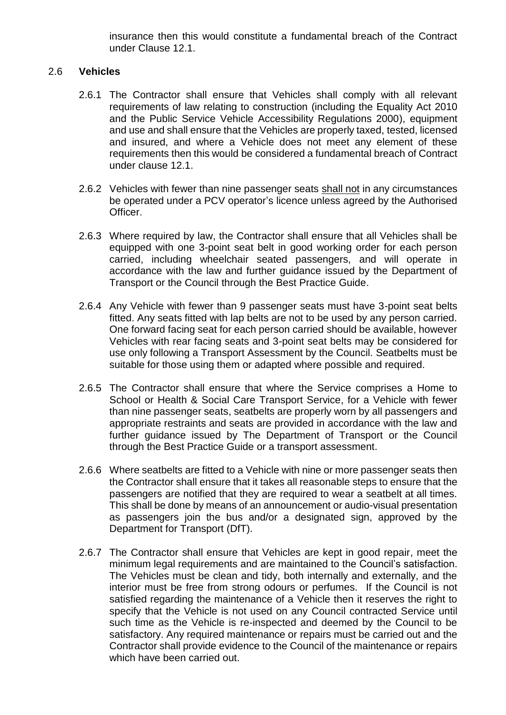insurance then this would constitute a fundamental breach of the Contract under Clause 12.1.

## 2.6 **Vehicles**

- 2.6.1 The Contractor shall ensure that Vehicles shall comply with all relevant requirements of law relating to construction (including the Equality Act 2010 and the Public Service Vehicle Accessibility Regulations 2000), equipment and use and shall ensure that the Vehicles are properly taxed, tested, licensed and insured, and where a Vehicle does not meet any element of these requirements then this would be considered a fundamental breach of Contract under clause 12.1.
- 2.6.2 Vehicles with fewer than nine passenger seats shall not in any circumstances be operated under a PCV operator's licence unless agreed by the Authorised Officer.
- 2.6.3 Where required by law, the Contractor shall ensure that all Vehicles shall be equipped with one 3-point seat belt in good working order for each person carried, including wheelchair seated passengers, and will operate in accordance with the law and further guidance issued by the Department of Transport or the Council through the Best Practice Guide.
- 2.6.4 Any Vehicle with fewer than 9 passenger seats must have 3-point seat belts fitted. Any seats fitted with lap belts are not to be used by any person carried. One forward facing seat for each person carried should be available, however Vehicles with rear facing seats and 3-point seat belts may be considered for use only following a Transport Assessment by the Council. Seatbelts must be suitable for those using them or adapted where possible and required.
- 2.6.5 The Contractor shall ensure that where the Service comprises a Home to School or Health & Social Care Transport Service, for a Vehicle with fewer than nine passenger seats, seatbelts are properly worn by all passengers and appropriate restraints and seats are provided in accordance with the law and further guidance issued by The Department of Transport or the Council through the Best Practice Guide or a transport assessment.
- 2.6.6 Where seatbelts are fitted to a Vehicle with nine or more passenger seats then the Contractor shall ensure that it takes all reasonable steps to ensure that the passengers are notified that they are required to wear a seatbelt at all times. This shall be done by means of an announcement or audio-visual presentation as passengers join the bus and/or a designated sign, approved by the Department for Transport (DfT).
- 2.6.7 The Contractor shall ensure that Vehicles are kept in good repair, meet the minimum legal requirements and are maintained to the Council's satisfaction. The Vehicles must be clean and tidy, both internally and externally, and the interior must be free from strong odours or perfumes. If the Council is not satisfied regarding the maintenance of a Vehicle then it reserves the right to specify that the Vehicle is not used on any Council contracted Service until such time as the Vehicle is re-inspected and deemed by the Council to be satisfactory. Any required maintenance or repairs must be carried out and the Contractor shall provide evidence to the Council of the maintenance or repairs which have been carried out.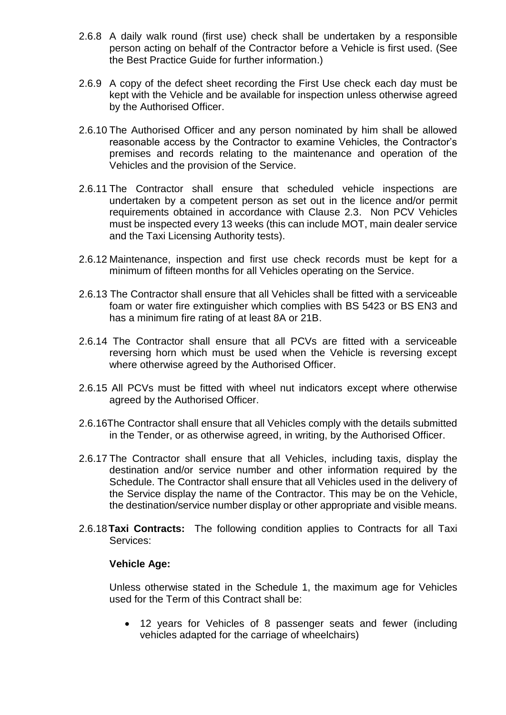- 2.6.8 A daily walk round (first use) check shall be undertaken by a responsible person acting on behalf of the Contractor before a Vehicle is first used. (See the Best Practice Guide for further information.)
- 2.6.9 A copy of the defect sheet recording the First Use check each day must be kept with the Vehicle and be available for inspection unless otherwise agreed by the Authorised Officer.
- 2.6.10 The Authorised Officer and any person nominated by him shall be allowed reasonable access by the Contractor to examine Vehicles, the Contractor's premises and records relating to the maintenance and operation of the Vehicles and the provision of the Service.
- 2.6.11 The Contractor shall ensure that scheduled vehicle inspections are undertaken by a competent person as set out in the licence and/or permit requirements obtained in accordance with Clause 2.3. Non PCV Vehicles must be inspected every 13 weeks (this can include MOT, main dealer service and the Taxi Licensing Authority tests).
- 2.6.12 Maintenance, inspection and first use check records must be kept for a minimum of fifteen months for all Vehicles operating on the Service.
- 2.6.13 The Contractor shall ensure that all Vehicles shall be fitted with a serviceable foam or water fire extinguisher which complies with BS 5423 or BS EN3 and has a minimum fire rating of at least 8A or 21B.
- 2.6.14 The Contractor shall ensure that all PCVs are fitted with a serviceable reversing horn which must be used when the Vehicle is reversing except where otherwise agreed by the Authorised Officer.
- 2.6.15 All PCVs must be fitted with wheel nut indicators except where otherwise agreed by the Authorised Officer.
- 2.6.16The Contractor shall ensure that all Vehicles comply with the details submitted in the Tender, or as otherwise agreed, in writing, by the Authorised Officer.
- 2.6.17 The Contractor shall ensure that all Vehicles, including taxis, display the destination and/or service number and other information required by the Schedule. The Contractor shall ensure that all Vehicles used in the delivery of the Service display the name of the Contractor. This may be on the Vehicle, the destination/service number display or other appropriate and visible means.
- 2.6.18**Taxi Contracts:** The following condition applies to Contracts for all Taxi Services:

#### **Vehicle Age:**

Unless otherwise stated in the Schedule 1, the maximum age for Vehicles used for the Term of this Contract shall be:

 12 years for Vehicles of 8 passenger seats and fewer (including vehicles adapted for the carriage of wheelchairs)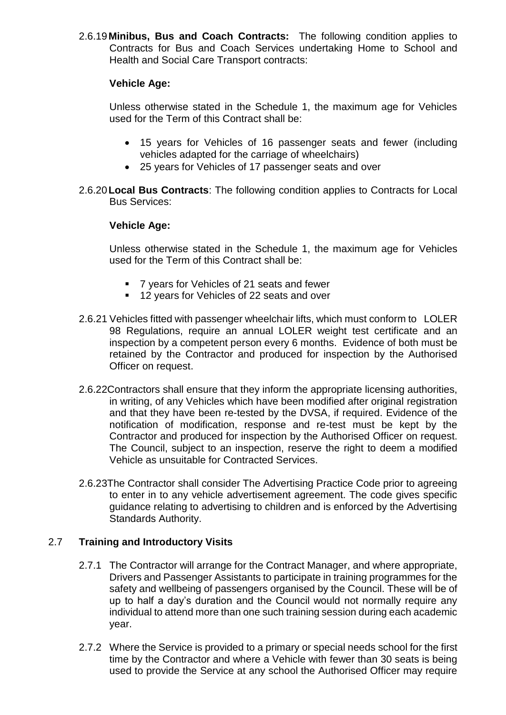2.6.19**Minibus, Bus and Coach Contracts:** The following condition applies to Contracts for Bus and Coach Services undertaking Home to School and Health and Social Care Transport contracts:

## **Vehicle Age:**

Unless otherwise stated in the Schedule 1, the maximum age for Vehicles used for the Term of this Contract shall be:

- 15 years for Vehicles of 16 passenger seats and fewer (including vehicles adapted for the carriage of wheelchairs)
- 25 years for Vehicles of 17 passenger seats and over
- 2.6.20**Local Bus Contracts**: The following condition applies to Contracts for Local Bus Services:

## **Vehicle Age:**

Unless otherwise stated in the Schedule 1, the maximum age for Vehicles used for the Term of this Contract shall be:

- 7 years for Vehicles of 21 seats and fewer
- 12 years for Vehicles of 22 seats and over
- 2.6.21 Vehicles fitted with passenger wheelchair lifts, which must conform to LOLER 98 Regulations, require an annual LOLER weight test certificate and an inspection by a competent person every 6 months. Evidence of both must be retained by the Contractor and produced for inspection by the Authorised Officer on request.
- 2.6.22Contractors shall ensure that they inform the appropriate licensing authorities, in writing, of any Vehicles which have been modified after original registration and that they have been re-tested by the DVSA, if required. Evidence of the notification of modification, response and re-test must be kept by the Contractor and produced for inspection by the Authorised Officer on request. The Council, subject to an inspection, reserve the right to deem a modified Vehicle as unsuitable for Contracted Services.
- 2.6.23The Contractor shall consider The Advertising Practice Code prior to agreeing to enter in to any vehicle advertisement agreement. The code gives specific guidance relating to advertising to children and is enforced by the Advertising Standards Authority.

## 2.7 **Training and Introductory Visits**

- 2.7.1 The Contractor will arrange for the Contract Manager, and where appropriate, Drivers and Passenger Assistants to participate in training programmes for the safety and wellbeing of passengers organised by the Council. These will be of up to half a day's duration and the Council would not normally require any individual to attend more than one such training session during each academic year.
- 2.7.2 Where the Service is provided to a primary or special needs school for the first time by the Contractor and where a Vehicle with fewer than 30 seats is being used to provide the Service at any school the Authorised Officer may require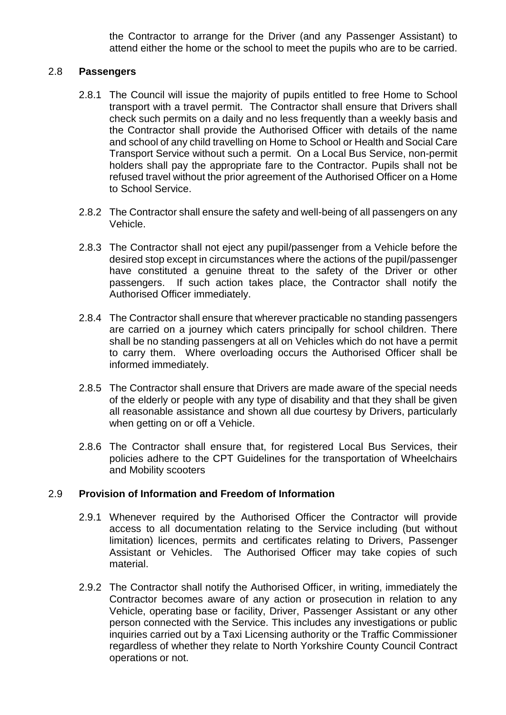the Contractor to arrange for the Driver (and any Passenger Assistant) to attend either the home or the school to meet the pupils who are to be carried.

## 2.8 **Passengers**

- 2.8.1 The Council will issue the majority of pupils entitled to free Home to School transport with a travel permit. The Contractor shall ensure that Drivers shall check such permits on a daily and no less frequently than a weekly basis and the Contractor shall provide the Authorised Officer with details of the name and school of any child travelling on Home to School or Health and Social Care Transport Service without such a permit. On a Local Bus Service, non-permit holders shall pay the appropriate fare to the Contractor. Pupils shall not be refused travel without the prior agreement of the Authorised Officer on a Home to School Service.
- 2.8.2 The Contractor shall ensure the safety and well-being of all passengers on any Vehicle.
- 2.8.3 The Contractor shall not eject any pupil/passenger from a Vehicle before the desired stop except in circumstances where the actions of the pupil/passenger have constituted a genuine threat to the safety of the Driver or other passengers. If such action takes place, the Contractor shall notify the Authorised Officer immediately.
- 2.8.4 The Contractor shall ensure that wherever practicable no standing passengers are carried on a journey which caters principally for school children. There shall be no standing passengers at all on Vehicles which do not have a permit to carry them. Where overloading occurs the Authorised Officer shall be informed immediately.
- 2.8.5 The Contractor shall ensure that Drivers are made aware of the special needs of the elderly or people with any type of disability and that they shall be given all reasonable assistance and shown all due courtesy by Drivers, particularly when getting on or off a Vehicle.
- 2.8.6 The Contractor shall ensure that, for registered Local Bus Services, their policies adhere to the CPT Guidelines for the transportation of Wheelchairs and Mobility scooters

## 2.9 **Provision of Information and Freedom of Information**

- 2.9.1 Whenever required by the Authorised Officer the Contractor will provide access to all documentation relating to the Service including (but without limitation) licences, permits and certificates relating to Drivers, Passenger Assistant or Vehicles. The Authorised Officer may take copies of such material.
- 2.9.2 The Contractor shall notify the Authorised Officer, in writing, immediately the Contractor becomes aware of any action or prosecution in relation to any Vehicle, operating base or facility, Driver, Passenger Assistant or any other person connected with the Service. This includes any investigations or public inquiries carried out by a Taxi Licensing authority or the Traffic Commissioner regardless of whether they relate to North Yorkshire County Council Contract operations or not.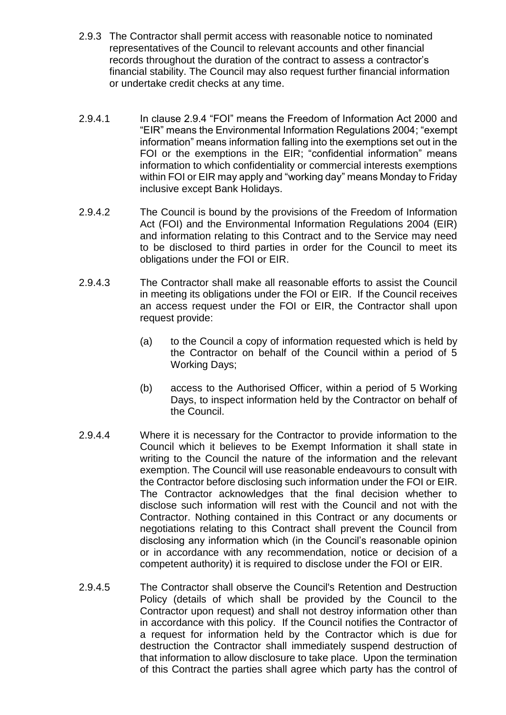- 2.9.3 The Contractor shall permit access with reasonable notice to nominated representatives of the Council to relevant accounts and other financial records throughout the duration of the contract to assess a contractor's financial stability. The Council may also request further financial information or undertake credit checks at any time.
- 2.9.4.1 In clause 2.9.4 "FOI" means the Freedom of Information Act 2000 and "EIR" means the Environmental Information Regulations 2004; "exempt information" means information falling into the exemptions set out in the FOI or the exemptions in the EIR; "confidential information" means information to which confidentiality or commercial interests exemptions within FOI or EIR may apply and "working day" means Monday to Friday inclusive except Bank Holidays.
- 2.9.4.2 The Council is bound by the provisions of the Freedom of Information Act (FOI) and the Environmental Information Regulations 2004 (EIR) and information relating to this Contract and to the Service may need to be disclosed to third parties in order for the Council to meet its obligations under the FOI or EIR.
- 2.9.4.3 The Contractor shall make all reasonable efforts to assist the Council in meeting its obligations under the FOI or EIR. If the Council receives an access request under the FOI or EIR, the Contractor shall upon request provide:
	- (a) to the Council a copy of information requested which is held by the Contractor on behalf of the Council within a period of 5 Working Days;
	- (b) access to the Authorised Officer, within a period of 5 Working Days, to inspect information held by the Contractor on behalf of the Council.
- 2.9.4.4 Where it is necessary for the Contractor to provide information to the Council which it believes to be Exempt Information it shall state in writing to the Council the nature of the information and the relevant exemption. The Council will use reasonable endeavours to consult with the Contractor before disclosing such information under the FOI or EIR. The Contractor acknowledges that the final decision whether to disclose such information will rest with the Council and not with the Contractor. Nothing contained in this Contract or any documents or negotiations relating to this Contract shall prevent the Council from disclosing any information which (in the Council's reasonable opinion or in accordance with any recommendation, notice or decision of a competent authority) it is required to disclose under the FOI or EIR.
- 2.9.4.5 The Contractor shall observe the Council's Retention and Destruction Policy (details of which shall be provided by the Council to the Contractor upon request) and shall not destroy information other than in accordance with this policy. If the Council notifies the Contractor of a request for information held by the Contractor which is due for destruction the Contractor shall immediately suspend destruction of that information to allow disclosure to take place. Upon the termination of this Contract the parties shall agree which party has the control of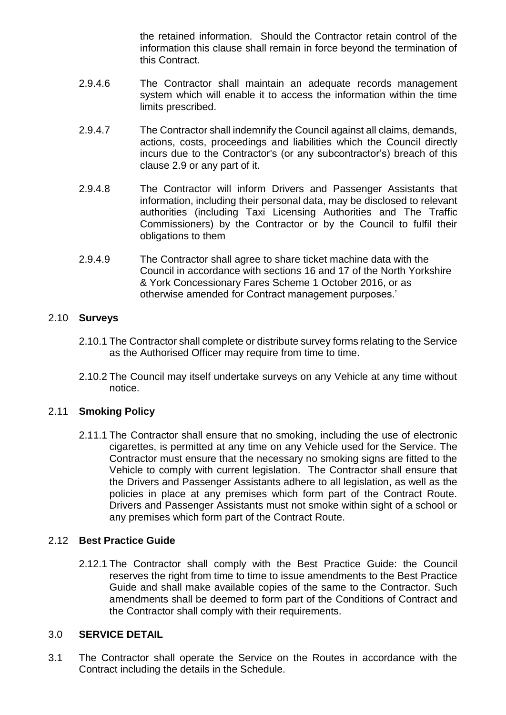the retained information. Should the Contractor retain control of the information this clause shall remain in force beyond the termination of this Contract.

- 2.9.4.6 The Contractor shall maintain an adequate records management system which will enable it to access the information within the time limits prescribed.
- 2.9.4.7 The Contractor shall indemnify the Council against all claims, demands, actions, costs, proceedings and liabilities which the Council directly incurs due to the Contractor's (or any subcontractor's) breach of this clause 2.9 or any part of it.
- 2.9.4.8 The Contractor will inform Drivers and Passenger Assistants that information, including their personal data, may be disclosed to relevant authorities (including Taxi Licensing Authorities and The Traffic Commissioners) by the Contractor or by the Council to fulfil their obligations to them
- 2.9.4.9 The Contractor shall agree to share ticket machine data with the Council in accordance with sections 16 and 17 of the North Yorkshire & York Concessionary Fares Scheme 1 October 2016, or as otherwise amended for Contract management purposes.'

## 2.10 **Surveys**

- 2.10.1 The Contractor shall complete or distribute survey forms relating to the Service as the Authorised Officer may require from time to time.
- 2.10.2 The Council may itself undertake surveys on any Vehicle at any time without notice.

## 2.11 **Smoking Policy**

2.11.1 The Contractor shall ensure that no smoking, including the use of electronic cigarettes, is permitted at any time on any Vehicle used for the Service. The Contractor must ensure that the necessary no smoking signs are fitted to the Vehicle to comply with current legislation. The Contractor shall ensure that the Drivers and Passenger Assistants adhere to all legislation, as well as the policies in place at any premises which form part of the Contract Route. Drivers and Passenger Assistants must not smoke within sight of a school or any premises which form part of the Contract Route.

## 2.12 **Best Practice Guide**

2.12.1 The Contractor shall comply with the Best Practice Guide: the Council reserves the right from time to time to issue amendments to the Best Practice Guide and shall make available copies of the same to the Contractor. Such amendments shall be deemed to form part of the Conditions of Contract and the Contractor shall comply with their requirements.

#### 3.0 **SERVICE DETAIL**

3.1 The Contractor shall operate the Service on the Routes in accordance with the Contract including the details in the Schedule.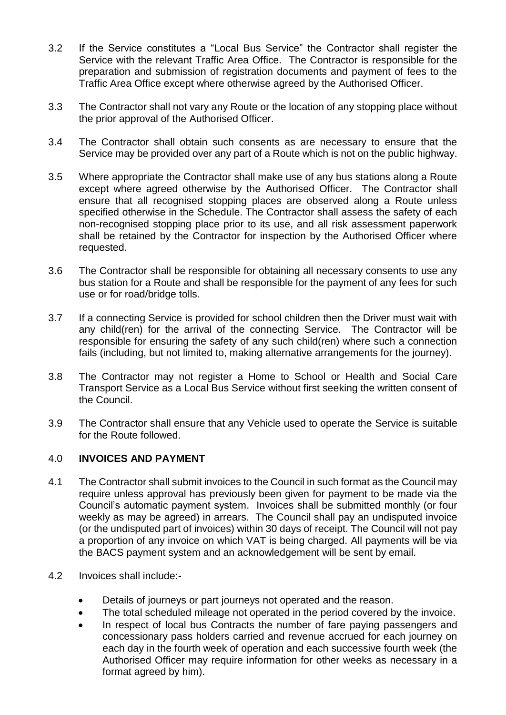- 3.2 If the Service constitutes a "Local Bus Service" the Contractor shall register the Service with the relevant Traffic Area Office. The Contractor is responsible for the preparation and submission of registration documents and payment of fees to the Traffic Area Office except where otherwise agreed by the Authorised Officer.
- 3.3 The Contractor shall not vary any Route or the location of any stopping place without the prior approval of the Authorised Officer.
- 3.4 The Contractor shall obtain such consents as are necessary to ensure that the Service may be provided over any part of a Route which is not on the public highway.
- 3.5 Where appropriate the Contractor shall make use of any bus stations along a Route except where agreed otherwise by the Authorised Officer. The Contractor shall ensure that all recognised stopping places are observed along a Route unless specified otherwise in the Schedule. The Contractor shall assess the safety of each non-recognised stopping place prior to its use, and all risk assessment paperwork shall be retained by the Contractor for inspection by the Authorised Officer where requested.
- 3.6 The Contractor shall be responsible for obtaining all necessary consents to use any bus station for a Route and shall be responsible for the payment of any fees for such use or for road/bridge tolls.
- 3.7 If a connecting Service is provided for school children then the Driver must wait with any child(ren) for the arrival of the connecting Service. The Contractor will be responsible for ensuring the safety of any such child(ren) where such a connection fails (including, but not limited to, making alternative arrangements for the journey).
- 3.8 The Contractor may not register a Home to School or Health and Social Care Transport Service as a Local Bus Service without first seeking the written consent of the Council.
- 3.9 The Contractor shall ensure that any Vehicle used to operate the Service is suitable for the Route followed.

## 4.0 **INVOICES AND PAYMENT**

- 4.1 The Contractor shall submit invoices to the Council in such format as the Council may require unless approval has previously been given for payment to be made via the Council's automatic payment system. Invoices shall be submitted monthly (or four weekly as may be agreed) in arrears. The Council shall pay an undisputed invoice (or the undisputed part of invoices) within 30 days of receipt. The Council will not pay a proportion of any invoice on which VAT is being charged. All payments will be via the BACS payment system and an acknowledgement will be sent by email.
- 4.2 Invoices shall include:-
	- Details of journeys or part journeys not operated and the reason.
	- The total scheduled mileage not operated in the period covered by the invoice.
	- In respect of local bus Contracts the number of fare paying passengers and concessionary pass holders carried and revenue accrued for each journey on each day in the fourth week of operation and each successive fourth week (the Authorised Officer may require information for other weeks as necessary in a format agreed by him).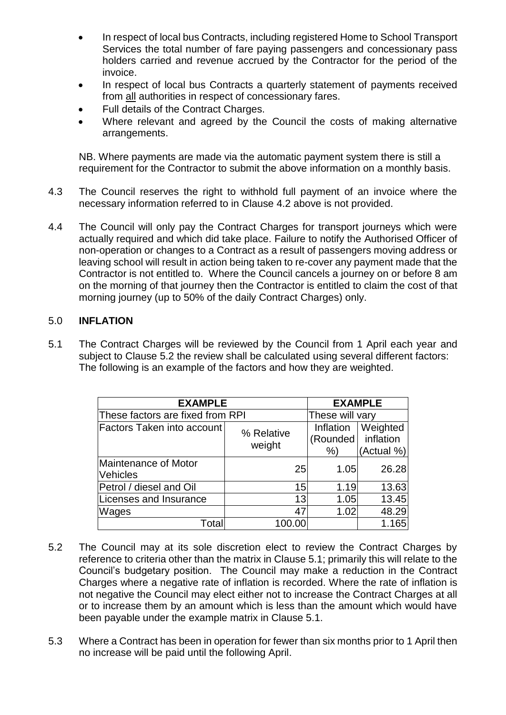- In respect of local bus Contracts, including registered Home to School Transport Services the total number of fare paying passengers and concessionary pass holders carried and revenue accrued by the Contractor for the period of the invoice.
- In respect of local bus Contracts a quarterly statement of payments received from all authorities in respect of concessionary fares.
- Full details of the Contract Charges.
- Where relevant and agreed by the Council the costs of making alternative arrangements.

NB. Where payments are made via the automatic payment system there is still a requirement for the Contractor to submit the above information on a monthly basis.

- 4.3 The Council reserves the right to withhold full payment of an invoice where the necessary information referred to in Clause 4.2 above is not provided.
- 4.4 The Council will only pay the Contract Charges for transport journeys which were actually required and which did take place. Failure to notify the Authorised Officer of non-operation or changes to a Contract as a result of passengers moving address or leaving school will result in action being taken to re-cover any payment made that the Contractor is not entitled to. Where the Council cancels a journey on or before 8 am on the morning of that journey then the Contractor is entitled to claim the cost of that morning journey (up to 50% of the daily Contract Charges) only.

## 5.0 **INFLATION**

5.1 The Contract Charges will be reviewed by the Council from 1 April each year and subject to Clause 5.2 the review shall be calculated using several different factors: The following is an example of the factors and how they are weighted.

| <b>EXAMPLE</b>                          | <b>EXAMPLE</b>       |                             |                                     |
|-----------------------------------------|----------------------|-----------------------------|-------------------------------------|
| These factors are fixed from RPI        | These will vary      |                             |                                     |
| Factors Taken into account              | % Relative<br>weight | Inflation<br>(Rounded)<br>% | Weighted<br>inflation<br>(Actual %) |
| Maintenance of Motor<br><b>Vehicles</b> | 25                   | 1.05                        | 26.28                               |
| Petrol / diesel and Oil                 | 15                   | 1.19                        | 13.63                               |
| Licenses and Insurance                  | 13                   | 1.05                        | 13.45                               |
| Wages                                   | 47                   | 1.02                        | 48.29                               |
| Total                                   | 100.00               |                             | 1.165                               |

- 5.2 The Council may at its sole discretion elect to review the Contract Charges by reference to criteria other than the matrix in Clause 5.1; primarily this will relate to the Council's budgetary position. The Council may make a reduction in the Contract Charges where a negative rate of inflation is recorded. Where the rate of inflation is not negative the Council may elect either not to increase the Contract Charges at all or to increase them by an amount which is less than the amount which would have been payable under the example matrix in Clause 5.1.
- 5.3 Where a Contract has been in operation for fewer than six months prior to 1 April then no increase will be paid until the following April.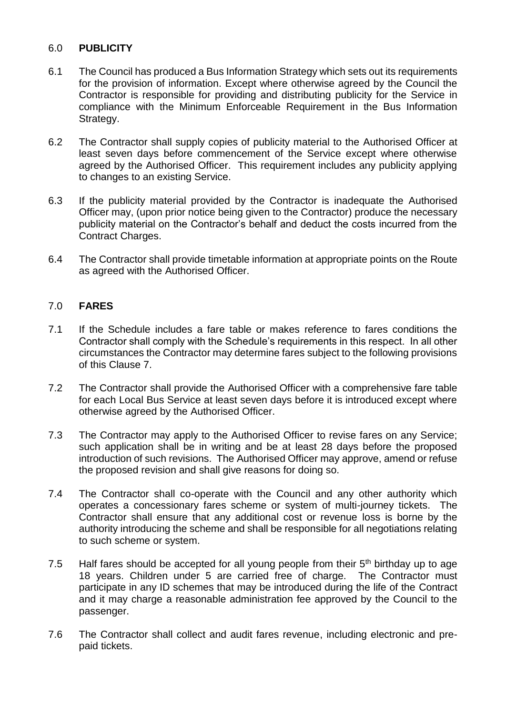## 6.0 **PUBLICITY**

- 6.1 The Council has produced a Bus Information Strategy which sets out its requirements for the provision of information. Except where otherwise agreed by the Council the Contractor is responsible for providing and distributing publicity for the Service in compliance with the Minimum Enforceable Requirement in the Bus Information Strategy.
- 6.2 The Contractor shall supply copies of publicity material to the Authorised Officer at least seven days before commencement of the Service except where otherwise agreed by the Authorised Officer. This requirement includes any publicity applying to changes to an existing Service.
- 6.3 If the publicity material provided by the Contractor is inadequate the Authorised Officer may, (upon prior notice being given to the Contractor) produce the necessary publicity material on the Contractor's behalf and deduct the costs incurred from the Contract Charges.
- 6.4 The Contractor shall provide timetable information at appropriate points on the Route as agreed with the Authorised Officer.

## 7.0 **FARES**

- 7.1 If the Schedule includes a fare table or makes reference to fares conditions the Contractor shall comply with the Schedule's requirements in this respect. In all other circumstances the Contractor may determine fares subject to the following provisions of this Clause 7.
- 7.2 The Contractor shall provide the Authorised Officer with a comprehensive fare table for each Local Bus Service at least seven days before it is introduced except where otherwise agreed by the Authorised Officer.
- 7.3 The Contractor may apply to the Authorised Officer to revise fares on any Service; such application shall be in writing and be at least 28 days before the proposed introduction of such revisions. The Authorised Officer may approve, amend or refuse the proposed revision and shall give reasons for doing so.
- 7.4 The Contractor shall co-operate with the Council and any other authority which operates a concessionary fares scheme or system of multi-journey tickets. The Contractor shall ensure that any additional cost or revenue loss is borne by the authority introducing the scheme and shall be responsible for all negotiations relating to such scheme or system.
- 7.5 Half fares should be accepted for all young people from their  $5<sup>th</sup>$  birthday up to age 18 years. Children under 5 are carried free of charge. The Contractor must participate in any ID schemes that may be introduced during the life of the Contract and it may charge a reasonable administration fee approved by the Council to the passenger.
- 7.6 The Contractor shall collect and audit fares revenue, including electronic and prepaid tickets.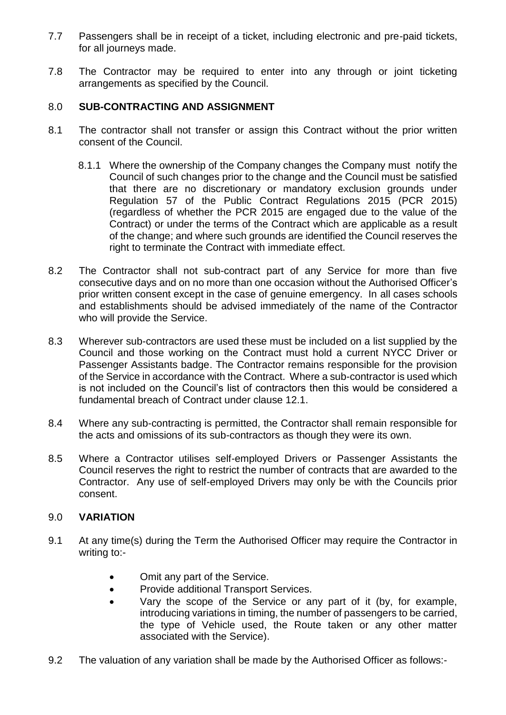- 7.7 Passengers shall be in receipt of a ticket, including electronic and pre-paid tickets, for all journeys made.
- 7.8 The Contractor may be required to enter into any through or joint ticketing arrangements as specified by the Council.

## 8.0 **SUB-CONTRACTING AND ASSIGNMENT**

- 8.1 The contractor shall not transfer or assign this Contract without the prior written consent of the Council.
	- 8.1.1 Where the ownership of the Company changes the Company must notify the Council of such changes prior to the change and the Council must be satisfied that there are no discretionary or mandatory exclusion grounds under Regulation 57 of the Public Contract Regulations 2015 (PCR 2015) (regardless of whether the PCR 2015 are engaged due to the value of the Contract) or under the terms of the Contract which are applicable as a result of the change; and where such grounds are identified the Council reserves the right to terminate the Contract with immediate effect.
- 8.2 The Contractor shall not sub-contract part of any Service for more than five consecutive days and on no more than one occasion without the Authorised Officer's prior written consent except in the case of genuine emergency. In all cases schools and establishments should be advised immediately of the name of the Contractor who will provide the Service.
- 8.3 Wherever sub-contractors are used these must be included on a list supplied by the Council and those working on the Contract must hold a current NYCC Driver or Passenger Assistants badge. The Contractor remains responsible for the provision of the Service in accordance with the Contract. Where a sub-contractor is used which is not included on the Council's list of contractors then this would be considered a fundamental breach of Contract under clause 12.1.
- 8.4 Where any sub-contracting is permitted, the Contractor shall remain responsible for the acts and omissions of its sub-contractors as though they were its own.
- 8.5 Where a Contractor utilises self-employed Drivers or Passenger Assistants the Council reserves the right to restrict the number of contracts that are awarded to the Contractor. Any use of self-employed Drivers may only be with the Councils prior consent.

## 9.0 **VARIATION**

- 9.1 At any time(s) during the Term the Authorised Officer may require the Contractor in writing to:-
	- Omit any part of the Service.
	- **•** Provide additional Transport Services.
	- Vary the scope of the Service or any part of it (by, for example, introducing variations in timing, the number of passengers to be carried, the type of Vehicle used, the Route taken or any other matter associated with the Service).
- 9.2 The valuation of any variation shall be made by the Authorised Officer as follows:-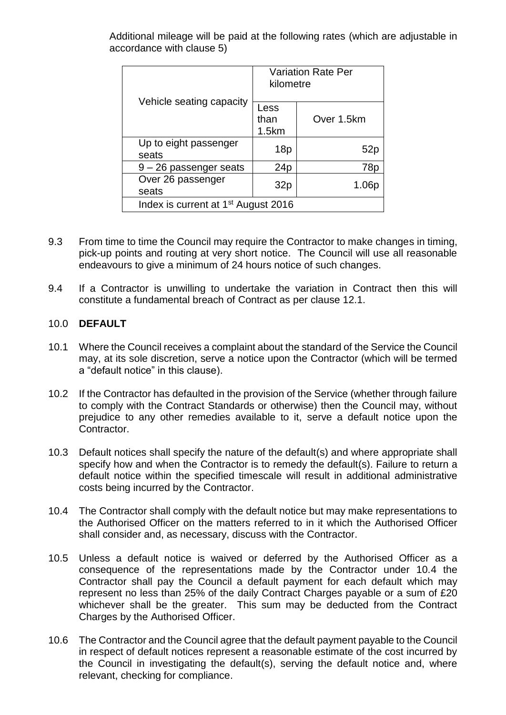Additional mileage will be paid at the following rates (which are adjustable in accordance with clause 5)

|                                                 | <b>Variation Rate Per</b><br>kilometre |            |  |  |  |
|-------------------------------------------------|----------------------------------------|------------|--|--|--|
| Vehicle seating capacity                        | Less<br>than<br>1.5km                  | Over 1.5km |  |  |  |
| Up to eight passenger<br>seats                  | 18p                                    | 52r        |  |  |  |
| $9 - 26$ passenger seats                        | 24p                                    | 78p        |  |  |  |
| Over 26 passenger<br>seats                      | 32p                                    | 1.06p      |  |  |  |
| Index is current at 1 <sup>st</sup> August 2016 |                                        |            |  |  |  |

- 9.3 From time to time the Council may require the Contractor to make changes in timing, pick-up points and routing at very short notice. The Council will use all reasonable endeavours to give a minimum of 24 hours notice of such changes.
- 9.4 If a Contractor is unwilling to undertake the variation in Contract then this will constitute a fundamental breach of Contract as per clause 12.1.

## 10.0 **DEFAULT**

- 10.1 Where the Council receives a complaint about the standard of the Service the Council may, at its sole discretion, serve a notice upon the Contractor (which will be termed a "default notice" in this clause).
- 10.2 If the Contractor has defaulted in the provision of the Service (whether through failure to comply with the Contract Standards or otherwise) then the Council may, without prejudice to any other remedies available to it, serve a default notice upon the Contractor.
- 10.3 Default notices shall specify the nature of the default(s) and where appropriate shall specify how and when the Contractor is to remedy the default(s). Failure to return a default notice within the specified timescale will result in additional administrative costs being incurred by the Contractor.
- 10.4 The Contractor shall comply with the default notice but may make representations to the Authorised Officer on the matters referred to in it which the Authorised Officer shall consider and, as necessary, discuss with the Contractor.
- 10.5 Unless a default notice is waived or deferred by the Authorised Officer as a consequence of the representations made by the Contractor under 10.4 the Contractor shall pay the Council a default payment for each default which may represent no less than 25% of the daily Contract Charges payable or a sum of £20 whichever shall be the greater. This sum may be deducted from the Contract Charges by the Authorised Officer.
- 10.6 The Contractor and the Council agree that the default payment payable to the Council in respect of default notices represent a reasonable estimate of the cost incurred by the Council in investigating the default(s), serving the default notice and, where relevant, checking for compliance.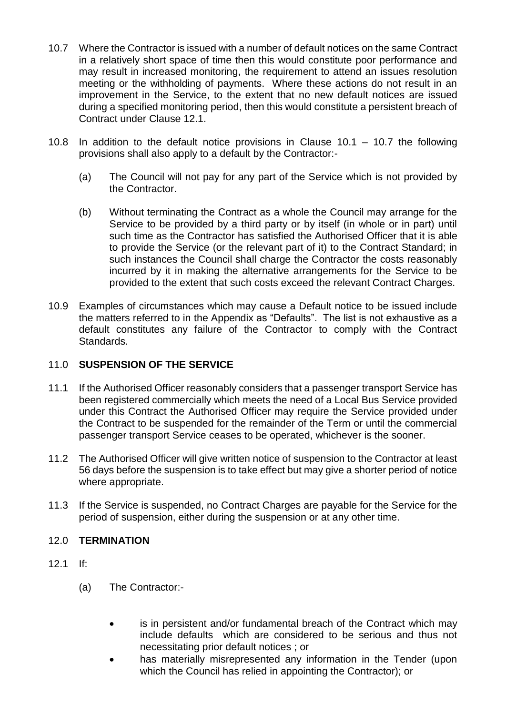- 10.7 Where the Contractor is issued with a number of default notices on the same Contract in a relatively short space of time then this would constitute poor performance and may result in increased monitoring, the requirement to attend an issues resolution meeting or the withholding of payments. Where these actions do not result in an improvement in the Service, to the extent that no new default notices are issued during a specified monitoring period, then this would constitute a persistent breach of Contract under Clause 12.1.
- 10.8 In addition to the default notice provisions in Clause 10.1 10.7 the following provisions shall also apply to a default by the Contractor:-
	- (a) The Council will not pay for any part of the Service which is not provided by the Contractor.
	- (b) Without terminating the Contract as a whole the Council may arrange for the Service to be provided by a third party or by itself (in whole or in part) until such time as the Contractor has satisfied the Authorised Officer that it is able to provide the Service (or the relevant part of it) to the Contract Standard; in such instances the Council shall charge the Contractor the costs reasonably incurred by it in making the alternative arrangements for the Service to be provided to the extent that such costs exceed the relevant Contract Charges.
- 10.9 Examples of circumstances which may cause a Default notice to be issued include the matters referred to in the Appendix as "Defaults". The list is not exhaustive as a default constitutes any failure of the Contractor to comply with the Contract Standards.

## 11.0 **SUSPENSION OF THE SERVICE**

- 11.1 If the Authorised Officer reasonably considers that a passenger transport Service has been registered commercially which meets the need of a Local Bus Service provided under this Contract the Authorised Officer may require the Service provided under the Contract to be suspended for the remainder of the Term or until the commercial passenger transport Service ceases to be operated, whichever is the sooner.
- 11.2 The Authorised Officer will give written notice of suspension to the Contractor at least 56 days before the suspension is to take effect but may give a shorter period of notice where appropriate.
- 11.3 If the Service is suspended, no Contract Charges are payable for the Service for the period of suspension, either during the suspension or at any other time.

## 12.0 **TERMINATION**

- $12.1$  If:
	- (a) The Contractor:-
		- is in persistent and/or fundamental breach of the Contract which may include defaults which are considered to be serious and thus not necessitating prior default notices ; or
		- has materially misrepresented any information in the Tender (upon which the Council has relied in appointing the Contractor); or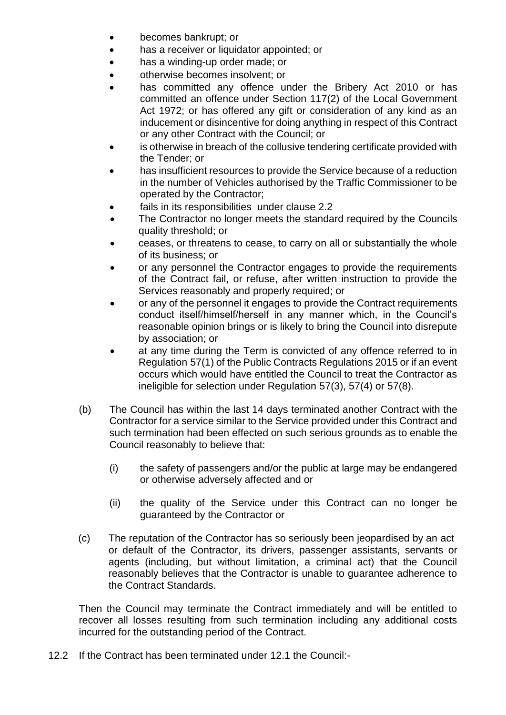- becomes bankrupt; or
- has a receiver or liquidator appointed; or
- has a winding-up order made; or
- otherwise becomes insolvent; or
- has committed any offence under the Bribery Act 2010 or has committed an offence under Section 117(2) of the Local Government Act 1972; or has offered any gift or consideration of any kind as an inducement or disincentive for doing anything in respect of this Contract or any other Contract with the Council; or
- is otherwise in breach of the collusive tendering certificate provided with the Tender; or
- has insufficient resources to provide the Service because of a reduction in the number of Vehicles authorised by the Traffic Commissioner to be operated by the Contractor;
- fails in its responsibilities under clause 2.2
- The Contractor no longer meets the standard required by the Councils quality threshold; or
- ceases, or threatens to cease, to carry on all or substantially the whole of its business; or
- or any personnel the Contractor engages to provide the requirements of the Contract fail, or refuse, after written instruction to provide the Services reasonably and properly required; or
- or any of the personnel it engages to provide the Contract requirements conduct itself/himself/herself in any manner which, in the Council's reasonable opinion brings or is likely to bring the Council into disrepute by association; or
- at any time during the Term is convicted of any offence referred to in Regulation 57(1) of the Public Contracts Regulations 2015 or if an event occurs which would have entitled the Council to treat the Contractor as ineligible for selection under Regulation 57(3), 57(4) or 57(8).
- (b) The Council has within the last 14 days terminated another Contract with the Contractor for a service similar to the Service provided under this Contract and such termination had been effected on such serious grounds as to enable the Council reasonably to believe that:
	- (i) the safety of passengers and/or the public at large may be endangered or otherwise adversely affected and or
	- (ii) the quality of the Service under this Contract can no longer be guaranteed by the Contractor or
- (c) The reputation of the Contractor has so seriously been jeopardised by an act or default of the Contractor, its drivers, passenger assistants, servants or agents (including, but without limitation, a criminal act) that the Council reasonably believes that the Contractor is unable to guarantee adherence to the Contract Standards.

Then the Council may terminate the Contract immediately and will be entitled to recover all losses resulting from such termination including any additional costs incurred for the outstanding period of the Contract.

12.2 If the Contract has been terminated under 12.1 the Council:-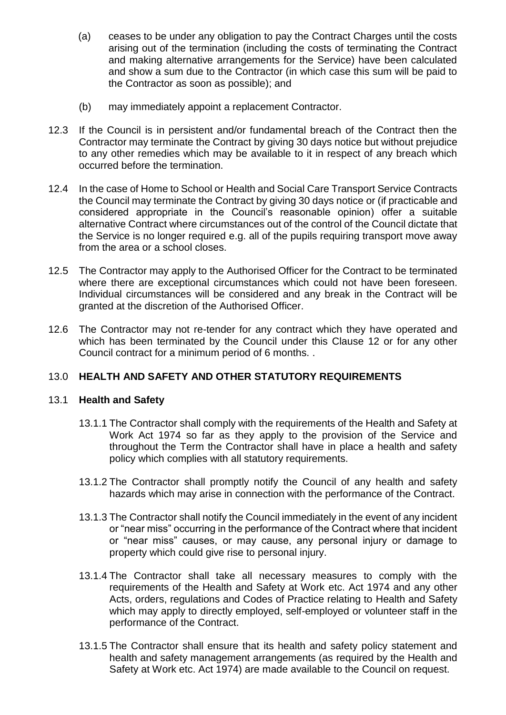- (a) ceases to be under any obligation to pay the Contract Charges until the costs arising out of the termination (including the costs of terminating the Contract and making alternative arrangements for the Service) have been calculated and show a sum due to the Contractor (in which case this sum will be paid to the Contractor as soon as possible); and
- (b) may immediately appoint a replacement Contractor.
- 12.3 If the Council is in persistent and/or fundamental breach of the Contract then the Contractor may terminate the Contract by giving 30 days notice but without prejudice to any other remedies which may be available to it in respect of any breach which occurred before the termination.
- 12.4 In the case of Home to School or Health and Social Care Transport Service Contracts the Council may terminate the Contract by giving 30 days notice or (if practicable and considered appropriate in the Council's reasonable opinion) offer a suitable alternative Contract where circumstances out of the control of the Council dictate that the Service is no longer required e.g. all of the pupils requiring transport move away from the area or a school closes.
- 12.5 The Contractor may apply to the Authorised Officer for the Contract to be terminated where there are exceptional circumstances which could not have been foreseen. Individual circumstances will be considered and any break in the Contract will be granted at the discretion of the Authorised Officer.
- 12.6 The Contractor may not re-tender for any contract which they have operated and which has been terminated by the Council under this Clause 12 or for any other Council contract for a minimum period of 6 months. .

## 13.0 **HEALTH AND SAFETY AND OTHER STATUTORY REQUIREMENTS**

## 13.1 **Health and Safety**

- 13.1.1 The Contractor shall comply with the requirements of the Health and Safety at Work Act 1974 so far as they apply to the provision of the Service and throughout the Term the Contractor shall have in place a health and safety policy which complies with all statutory requirements.
- 13.1.2 The Contractor shall promptly notify the Council of any health and safety hazards which may arise in connection with the performance of the Contract.
- 13.1.3 The Contractor shall notify the Council immediately in the event of any incident or "near miss" occurring in the performance of the Contract where that incident or "near miss" causes, or may cause, any personal injury or damage to property which could give rise to personal injury.
- 13.1.4 The Contractor shall take all necessary measures to comply with the requirements of the Health and Safety at Work etc. Act 1974 and any other Acts, orders, regulations and Codes of Practice relating to Health and Safety which may apply to directly employed, self-employed or volunteer staff in the performance of the Contract.
- 13.1.5 The Contractor shall ensure that its health and safety policy statement and health and safety management arrangements (as required by the Health and Safety at Work etc. Act 1974) are made available to the Council on request.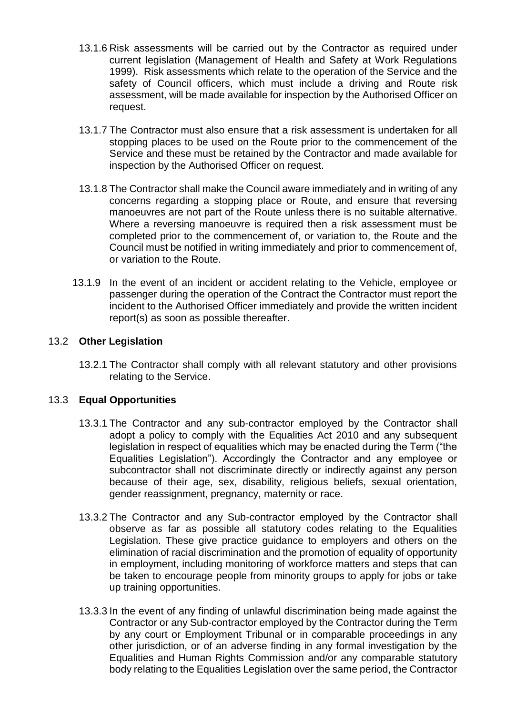- 13.1.6 Risk assessments will be carried out by the Contractor as required under current legislation (Management of Health and Safety at Work Regulations 1999). Risk assessments which relate to the operation of the Service and the safety of Council officers, which must include a driving and Route risk assessment, will be made available for inspection by the Authorised Officer on request.
- 13.1.7 The Contractor must also ensure that a risk assessment is undertaken for all stopping places to be used on the Route prior to the commencement of the Service and these must be retained by the Contractor and made available for inspection by the Authorised Officer on request.
- 13.1.8 The Contractor shall make the Council aware immediately and in writing of any concerns regarding a stopping place or Route, and ensure that reversing manoeuvres are not part of the Route unless there is no suitable alternative. Where a reversing manoeuvre is required then a risk assessment must be completed prior to the commencement of, or variation to, the Route and the Council must be notified in writing immediately and prior to commencement of, or variation to the Route.
- 13.1.9 In the event of an incident or accident relating to the Vehicle, employee or passenger during the operation of the Contract the Contractor must report the incident to the Authorised Officer immediately and provide the written incident report(s) as soon as possible thereafter.

## 13.2 **Other Legislation**

13.2.1 The Contractor shall comply with all relevant statutory and other provisions relating to the Service.

## 13.3 **Equal Opportunities**

- 13.3.1 The Contractor and any sub-contractor employed by the Contractor shall adopt a policy to comply with the Equalities Act 2010 and any subsequent legislation in respect of equalities which may be enacted during the Term ("the Equalities Legislation"). Accordingly the Contractor and any employee or subcontractor shall not discriminate directly or indirectly against any person because of their age, sex, disability, religious beliefs, sexual orientation, gender reassignment, pregnancy, maternity or race.
- 13.3.2 The Contractor and any Sub-contractor employed by the Contractor shall observe as far as possible all statutory codes relating to the Equalities Legislation. These give practice guidance to employers and others on the elimination of racial discrimination and the promotion of equality of opportunity in employment, including monitoring of workforce matters and steps that can be taken to encourage people from minority groups to apply for jobs or take up training opportunities.
- 13.3.3 In the event of any finding of unlawful discrimination being made against the Contractor or any Sub-contractor employed by the Contractor during the Term by any court or Employment Tribunal or in comparable proceedings in any other jurisdiction, or of an adverse finding in any formal investigation by the Equalities and Human Rights Commission and/or any comparable statutory body relating to the Equalities Legislation over the same period, the Contractor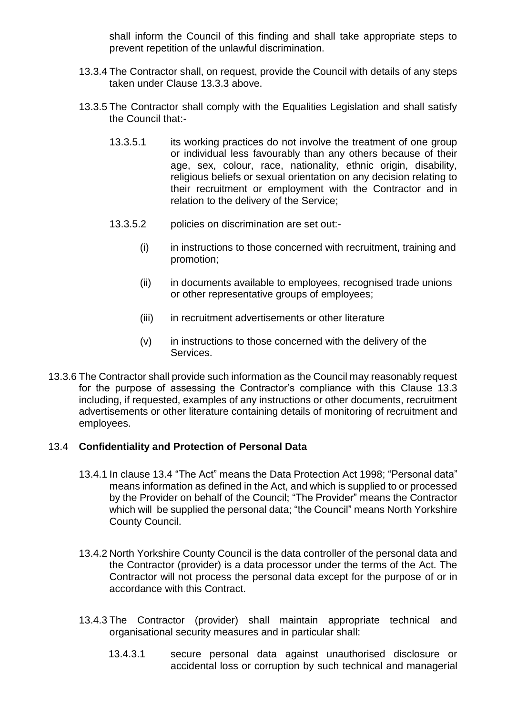shall inform the Council of this finding and shall take appropriate steps to prevent repetition of the unlawful discrimination.

- 13.3.4 The Contractor shall, on request, provide the Council with details of any steps taken under Clause 13.3.3 above.
- 13.3.5 The Contractor shall comply with the Equalities Legislation and shall satisfy the Council that:-
	- 13.3.5.1 its working practices do not involve the treatment of one group or individual less favourably than any others because of their age, sex, colour, race, nationality, ethnic origin, disability, religious beliefs or sexual orientation on any decision relating to their recruitment or employment with the Contractor and in relation to the delivery of the Service;
	- 13.3.5.2 policies on discrimination are set out:-
		- (i) in instructions to those concerned with recruitment, training and promotion;
		- (ii) in documents available to employees, recognised trade unions or other representative groups of employees;
		- (iii) in recruitment advertisements or other literature
		- (v) in instructions to those concerned with the delivery of the Services.
- 13.3.6 The Contractor shall provide such information as the Council may reasonably request for the purpose of assessing the Contractor's compliance with this Clause 13.3 including, if requested, examples of any instructions or other documents, recruitment advertisements or other literature containing details of monitoring of recruitment and employees.

## 13.4 **Confidentiality and Protection of Personal Data**

- 13.4.1 In clause 13.4 "The Act" means the Data Protection Act 1998; "Personal data" means information as defined in the Act, and which is supplied to or processed by the Provider on behalf of the Council; "The Provider" means the Contractor which will be supplied the personal data; "the Council" means North Yorkshire County Council.
- 13.4.2 North Yorkshire County Council is the data controller of the personal data and the Contractor (provider) is a data processor under the terms of the Act. The Contractor will not process the personal data except for the purpose of or in accordance with this Contract.
- 13.4.3 The Contractor (provider) shall maintain appropriate technical and organisational security measures and in particular shall:
	- 13.4.3.1 secure personal data against unauthorised disclosure or accidental loss or corruption by such technical and managerial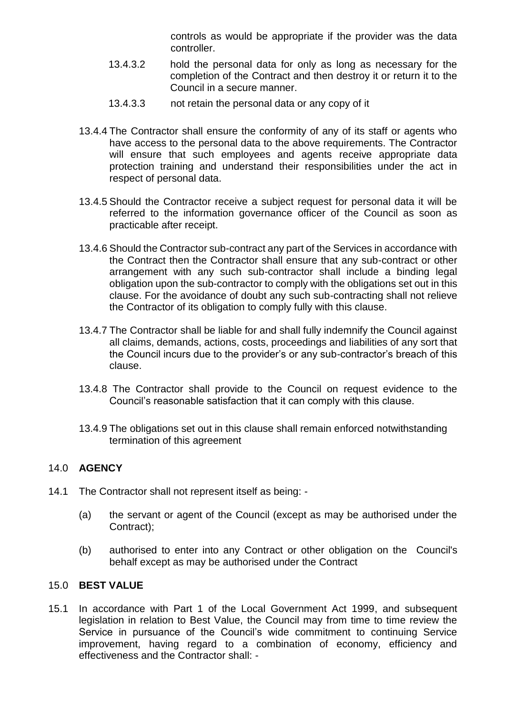controls as would be appropriate if the provider was the data controller.

- 13.4.3.2 hold the personal data for only as long as necessary for the completion of the Contract and then destroy it or return it to the Council in a secure manner.
- 13.4.3.3 not retain the personal data or any copy of it
- 13.4.4 The Contractor shall ensure the conformity of any of its staff or agents who have access to the personal data to the above requirements. The Contractor will ensure that such employees and agents receive appropriate data protection training and understand their responsibilities under the act in respect of personal data.
- 13.4.5 Should the Contractor receive a subject request for personal data it will be referred to the information governance officer of the Council as soon as practicable after receipt.
- 13.4.6 Should the Contractor sub-contract any part of the Services in accordance with the Contract then the Contractor shall ensure that any sub-contract or other arrangement with any such sub-contractor shall include a binding legal obligation upon the sub-contractor to comply with the obligations set out in this clause. For the avoidance of doubt any such sub-contracting shall not relieve the Contractor of its obligation to comply fully with this clause.
- 13.4.7 The Contractor shall be liable for and shall fully indemnify the Council against all claims, demands, actions, costs, proceedings and liabilities of any sort that the Council incurs due to the provider's or any sub-contractor's breach of this clause.
- 13.4.8 The Contractor shall provide to the Council on request evidence to the Council's reasonable satisfaction that it can comply with this clause.
- 13.4.9 The obligations set out in this clause shall remain enforced notwithstanding termination of this agreement

## 14.0 **AGENCY**

- 14.1 The Contractor shall not represent itself as being:
	- (a) the servant or agent of the Council (except as may be authorised under the Contract);
	- (b) authorised to enter into any Contract or other obligation on the Council's behalf except as may be authorised under the Contract

## 15.0 **BEST VALUE**

15.1 In accordance with Part 1 of the Local Government Act 1999, and subsequent legislation in relation to Best Value, the Council may from time to time review the Service in pursuance of the Council's wide commitment to continuing Service improvement, having regard to a combination of economy, efficiency and effectiveness and the Contractor shall: -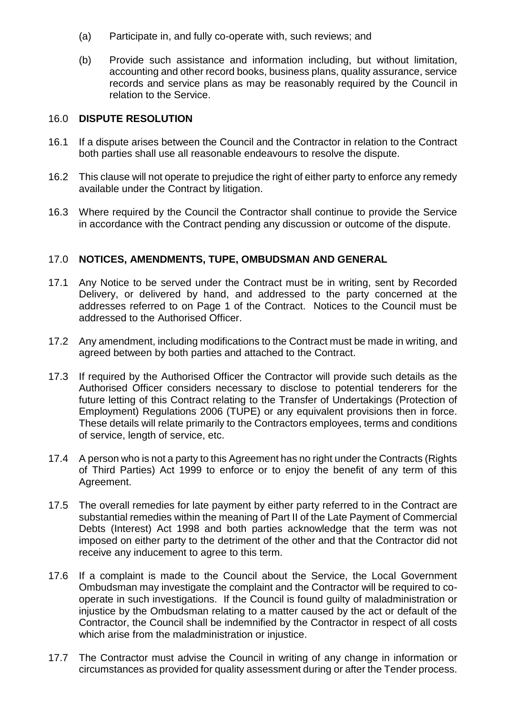- (a) Participate in, and fully co-operate with, such reviews; and
- (b) Provide such assistance and information including, but without limitation, accounting and other record books, business plans, quality assurance, service records and service plans as may be reasonably required by the Council in relation to the Service.

## 16.0 **DISPUTE RESOLUTION**

- 16.1 If a dispute arises between the Council and the Contractor in relation to the Contract both parties shall use all reasonable endeavours to resolve the dispute.
- 16.2 This clause will not operate to prejudice the right of either party to enforce any remedy available under the Contract by litigation.
- 16.3 Where required by the Council the Contractor shall continue to provide the Service in accordance with the Contract pending any discussion or outcome of the dispute.

## 17.0 **NOTICES, AMENDMENTS, TUPE, OMBUDSMAN AND GENERAL**

- 17.1 Any Notice to be served under the Contract must be in writing, sent by Recorded Delivery, or delivered by hand, and addressed to the party concerned at the addresses referred to on Page 1 of the Contract. Notices to the Council must be addressed to the Authorised Officer.
- 17.2 Any amendment, including modifications to the Contract must be made in writing, and agreed between by both parties and attached to the Contract.
- 17.3 If required by the Authorised Officer the Contractor will provide such details as the Authorised Officer considers necessary to disclose to potential tenderers for the future letting of this Contract relating to the Transfer of Undertakings (Protection of Employment) Regulations 2006 (TUPE) or any equivalent provisions then in force. These details will relate primarily to the Contractors employees, terms and conditions of service, length of service, etc.
- 17.4 A person who is not a party to this Agreement has no right under the Contracts (Rights of Third Parties) Act 1999 to enforce or to enjoy the benefit of any term of this Agreement.
- 17.5 The overall remedies for late payment by either party referred to in the Contract are substantial remedies within the meaning of Part II of the Late Payment of Commercial Debts (Interest) Act 1998 and both parties acknowledge that the term was not imposed on either party to the detriment of the other and that the Contractor did not receive any inducement to agree to this term.
- 17.6 If a complaint is made to the Council about the Service, the Local Government Ombudsman may investigate the complaint and the Contractor will be required to cooperate in such investigations. If the Council is found guilty of maladministration or injustice by the Ombudsman relating to a matter caused by the act or default of the Contractor, the Council shall be indemnified by the Contractor in respect of all costs which arise from the maladministration or injustice.
- 17.7 The Contractor must advise the Council in writing of any change in information or circumstances as provided for quality assessment during or after the Tender process.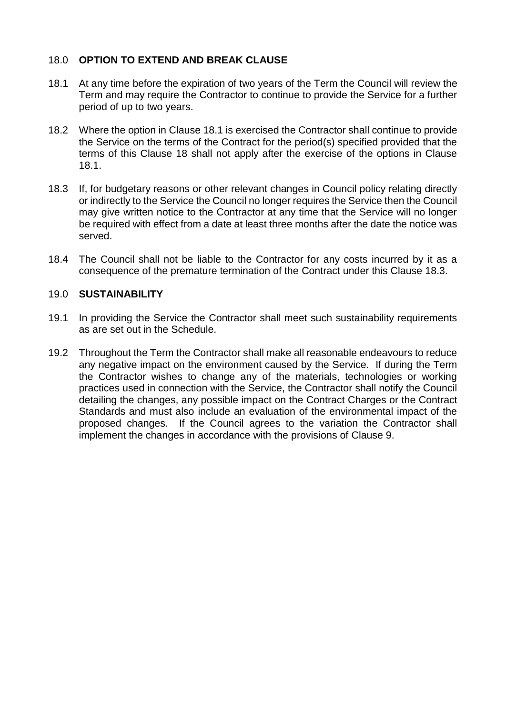## 18.0 **OPTION TO EXTEND AND BREAK CLAUSE**

- 18.1 At any time before the expiration of two years of the Term the Council will review the Term and may require the Contractor to continue to provide the Service for a further period of up to two years.
- 18.2 Where the option in Clause 18.1 is exercised the Contractor shall continue to provide the Service on the terms of the Contract for the period(s) specified provided that the terms of this Clause 18 shall not apply after the exercise of the options in Clause 18.1.
- 18.3 If, for budgetary reasons or other relevant changes in Council policy relating directly or indirectly to the Service the Council no longer requires the Service then the Council may give written notice to the Contractor at any time that the Service will no longer be required with effect from a date at least three months after the date the notice was served.
- 18.4 The Council shall not be liable to the Contractor for any costs incurred by it as a consequence of the premature termination of the Contract under this Clause 18.3.

## 19.0 **SUSTAINABILITY**

- 19.1 In providing the Service the Contractor shall meet such sustainability requirements as are set out in the Schedule.
- 19.2 Throughout the Term the Contractor shall make all reasonable endeavours to reduce any negative impact on the environment caused by the Service. If during the Term the Contractor wishes to change any of the materials, technologies or working practices used in connection with the Service, the Contractor shall notify the Council detailing the changes, any possible impact on the Contract Charges or the Contract Standards and must also include an evaluation of the environmental impact of the proposed changes. If the Council agrees to the variation the Contractor shall implement the changes in accordance with the provisions of Clause 9.